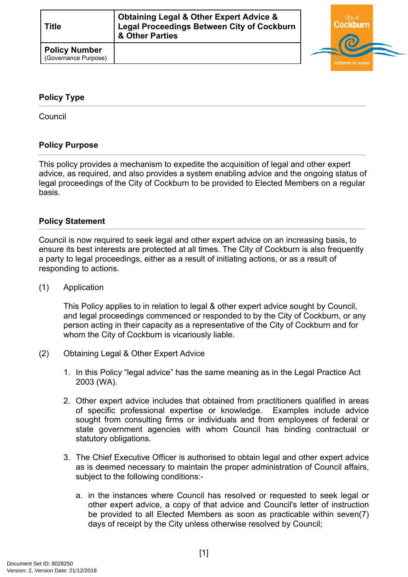| <b>Title</b>                                 | <b>Obtaining Legal &amp; Other Expert Advice &amp;</b><br><b>Legal Proceedings Between City of Cockburn</b><br>& Other Parties |  |
|----------------------------------------------|--------------------------------------------------------------------------------------------------------------------------------|--|
| <b>Policy Number</b><br>(Governance Purpose) |                                                                                                                                |  |



## <span id="page-0-0"></span>**[Policy Type](#page-0-0)**

Council

## **Policy Purpose**

This policy provides a mechanism to expedite the acquisition of legal and other expert advice, as required, and also provides a system enabling advice and the ongoing status of legal proceedings of the City of Cockburn to be provided to Elected Members on a regular basis.

## **Policy Statement**

Council is now required to seek legal and other expert advice on an increasing basis, to ensure its best interests are protected at all times. The City of Cockburn is also frequently a party to legal proceedings, either as a result of initiating actions, or as a result of responding to actions.

(1) Application

This Policy applies to in relation to legal & other expert advice sought by Council, and legal proceedings commenced or responded to by the City of Cockburn, or any person acting in their capacity as a representative of the City of Cockburn and for whom the City of Cockburn is vicariously liable.

- (2) Obtaining Legal & Other Expert Advice
	- 1. In this Policy "legal advice" has the same meaning as in the Legal Practice Act 2003 (WA).
	- 2. Other expert advice includes that obtained from practitioners qualified in areas of specific professional expertise or knowledge. Examples include advice sought from consulting firms or individuals and from employees of federal or state government agencies with whom Council has binding contractual or statutory obligations.
	- 3. The Chief Executive Officer is authorised to obtain legal and other expert advice as is deemed necessary to maintain the proper administration of Council affairs, subject to the following conditions:
		- a. in the instances where Council has resolved or requested to seek legal or other expert advice, a copy of that advice and Council's letter of instruction be provided to all Elected Members as soon as practicable within seven(7) days of receipt by the City unless otherwise resolved by Council;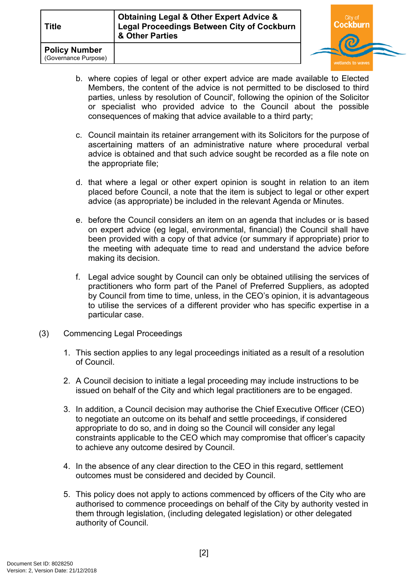| <b>Title</b>                                 | <b>Obtaining Legal &amp; Other Expert Advice &amp;</b><br><b>Legal Proceedings Between City of Cockburn</b><br>& Other Parties |               |
|----------------------------------------------|--------------------------------------------------------------------------------------------------------------------------------|---------------|
| <b>Policy Number</b><br>(Governance Purpose) |                                                                                                                                | wetlands to y |

b. where copies of legal or other expert advice are made available to Elected Members, the content of the advice is not permitted to be disclosed to third parties, unless by resolution of Council', following the opinion of the Solicitor or specialist who provided advice to the Council about the possible consequences of making that advice available to a third party;

rn

- c. Council maintain its retainer arrangement with its Solicitors for the purpose of ascertaining matters of an administrative nature where procedural verbal advice is obtained and that such advice sought be recorded as a file note on the appropriate file;
- d. that where a legal or other expert opinion is sought in relation to an item placed before Council, a note that the item is subject to legal or other expert advice (as appropriate) be included in the relevant Agenda or Minutes.
- e. before the Council considers an item on an agenda that includes or is based on expert advice (eg legal, environmental, financial) the Council shall have been provided with a copy of that advice (or summary if appropriate) prior to the meeting with adequate time to read and understand the advice before making its decision.
- f. Legal advice sought by Council can only be obtained utilising the services of practitioners who form part of the Panel of Preferred Suppliers, as adopted by Council from time to time, unless, in the CEO's opinion, it is advantageous to utilise the services of a different provider who has specific expertise in a particular case.
- (3) Commencing Legal Proceedings
	- 1. This section applies to any legal proceedings initiated as a result of a resolution of Council.
	- 2. A Council decision to initiate a legal proceeding may include instructions to be issued on behalf of the City and which legal practitioners are to be engaged.
	- 3. In addition, a Council decision may authorise the Chief Executive Officer (CEO) to negotiate an outcome on its behalf and settle proceedings, if considered appropriate to do so, and in doing so the Council will consider any legal constraints applicable to the CEO which may compromise that officer's capacity to achieve any outcome desired by Council.
	- 4. In the absence of any clear direction to the CEO in this regard, settlement outcomes must be considered and decided by Council.
	- 5. This policy does not apply to actions commenced by officers of the City who are authorised to commence proceedings on behalf of the City by authority vested in them through legislation, (including delegated legislation) or other delegated authority of Council.